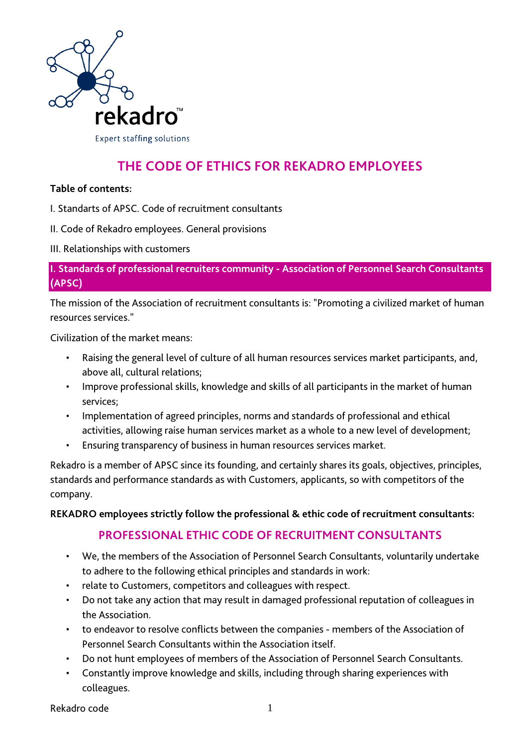

# **THE CODE OF ETHICS FOR REKADRO EMPLOYEES**

#### **Table of contents:**

- I. Standarts of APSC. Code of recruitment consultants
- II. Code of Rekadro employees. General provisions
- III. Relationships with customers

**I. Standards of professional recruiters community - Association of Personnel Search Consultants (APSC)**

The mission of the Association of recruitment consultants is: "Promoting a civilized market of human resources services."

Civilization of the market means:

- Raising the general level of culture of all human resources services market participants, and, above all, cultural relations;
- Improve professional skills, knowledge and skills of all participants in the market of human services;
- Implementation of agreed principles, norms and standards of professional and ethical activities, allowing raise human services market as a whole to a new level of development;
- Ensuring transparency of business in human resources services market.

Rekadro is a member of APSC since its founding, and certainly shares its goals, objectives, principles, standards and performance standards as with Customers, applicants, so with competitors of the company.

#### **REKADRO employees strictly follow the professional & ethic code of recruitment consultants:**

# **PROFESSIONAL ETHIC CODE OF RECRUITMENT CONSULTANTS**

- We, the members of the Association of Personnel Search Consultants, voluntarily undertake to adhere to the following ethical principles and standards in work:
- relate to Customers, competitors and colleagues with respect.
- Do not take any action that may result in damaged professional reputation of colleagues in the Association.
- to endeavor to resolve conflicts between the companies members of the Association of Personnel Search Consultants within the Association itself.
- Do not hunt employees of members of the Association of Personnel Search Consultants.
- Constantly improve knowledge and skills, including through sharing experiences with colleagues.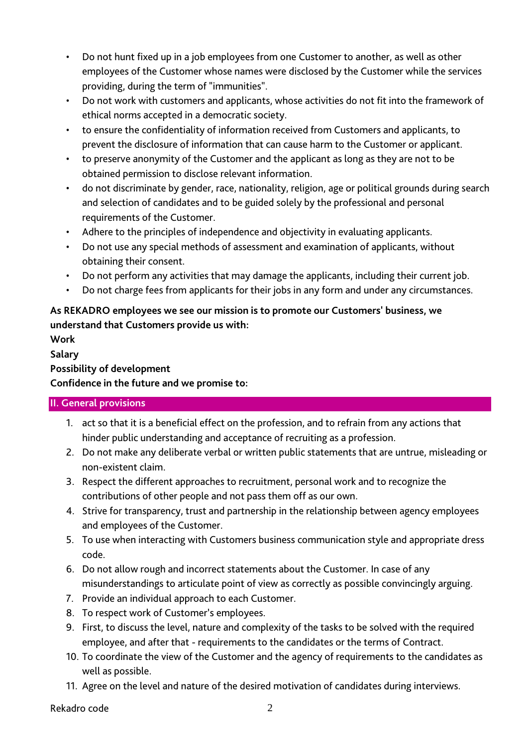- Do not hunt fixed up in a job employees from one Customer to another, as well as other employees of the Customer whose names were disclosed by the Customer while the services providing, during the term of "immunities".
- Do not work with customers and applicants, whose activities do not fit into the framework of ethical norms accepted in a democratic society.
- to ensure the confidentiality of information received from Customers and applicants, to prevent the disclosure of information that can cause harm to the Customer or applicant.
- to preserve anonymity of the Customer and the applicant as long as they are not to be obtained permission to disclose relevant information.
- do not discriminate by gender, race, nationality, religion, age or political grounds during search and selection of candidates and to be guided solely by the professional and personal requirements of the Customer.
- Adhere to the principles of independence and objectivity in evaluating applicants.
- Do not use any special methods of assessment and examination of applicants, without obtaining their consent.
- Do not perform any activities that may damage the applicants, including their current job.
- Do not charge fees from applicants for their jobs in any form and under any circumstances.

## **As REKADRO employees we see our mission is to promote our Customers' business, we understand that Customers provide us with:**

## **Work**

**Salary**

## **Possibility of development**

**Confidence in the future and we promise to:**

## **II. General provisions**

- 1. act so that it is a beneficial effect on the profession, and to refrain from any actions that hinder public understanding and acceptance of recruiting as a profession.
- 2. Do not make any deliberate verbal or written public statements that are untrue, misleading or non-existent claim.
- 3. Respect the different approaches to recruitment, personal work and to recognize the contributions of other people and not pass them off as our own.
- 4. Strive for transparency, trust and partnership in the relationship between agency employees and employees of the Customer.
- 5. To use when interacting with Customers business communication style and appropriate dress code.
- 6. Do not allow rough and incorrect statements about the Customer. In case of any misunderstandings to articulate point of view as correctly as possible convincingly arguing.
- 7. Provide an individual approach to each Customer.
- 8. To respect work of Customer's employees.
- 9. First, to discuss the level, nature and complexity of the tasks to be solved with the required employee, and after that - requirements to the candidates or the terms of Contract.
- 10. To coordinate the view of the Customer and the agency of requirements to the candidates as well as possible.
- 11. Agree on the level and nature of the desired motivation of candidates during interviews.